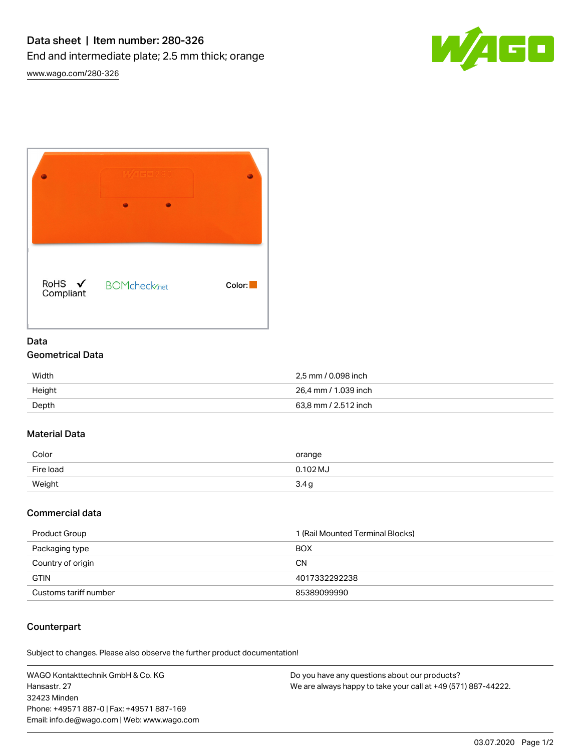



# Data Geometrical Data

| Width  | 2,5 mm / 0.098 inch  |
|--------|----------------------|
| Height | 26.4 mm / 1.039 inch |
| Depth  | 63,8 mm / 2.512 inch |

### Material Data

| Color     | orange   |
|-----------|----------|
| Fire load | 0.102 MJ |
| Weight    | 3.4g     |

### Commercial data

| Product Group         | 1 (Rail Mounted Terminal Blocks) |
|-----------------------|----------------------------------|
| Packaging type        | <b>BOX</b>                       |
| Country of origin     | <b>CN</b>                        |
| <b>GTIN</b>           | 4017332292238                    |
| Customs tariff number | 85389099990                      |

# **Counterpart**

Subject to changes. Please also observe the further product documentation!

WAGO Kontakttechnik GmbH & Co. KG Hansastr. 27 32423 Minden Phone: +49571 887-0 | Fax: +49571 887-169 Email: info.de@wago.com | Web: www.wago.com

Do you have any questions about our products? We are always happy to take your call at +49 (571) 887-44222.